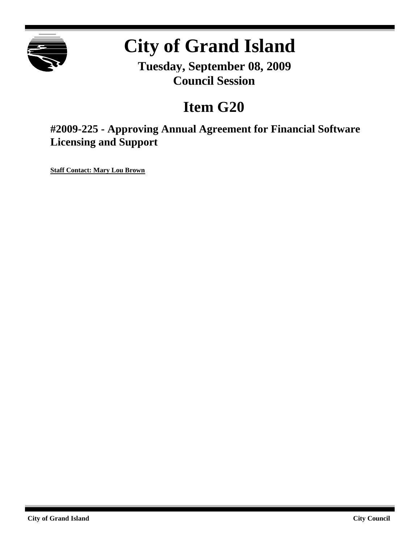

# **City of Grand Island**

**Tuesday, September 08, 2009 Council Session**

## **Item G20**

**#2009-225 - Approving Annual Agreement for Financial Software Licensing and Support**

**Staff Contact: Mary Lou Brown**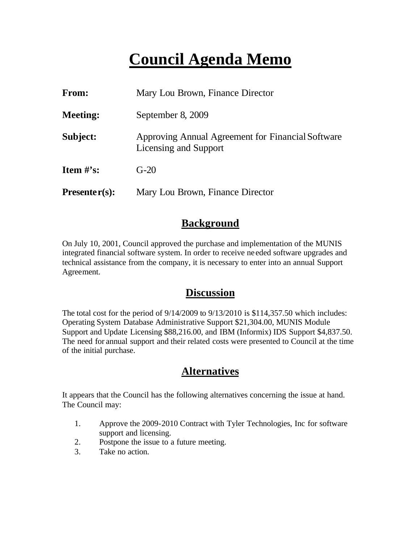### **Council Agenda Memo**

| <b>From:</b>    | Mary Lou Brown, Finance Director                                           |  |  |  |
|-----------------|----------------------------------------------------------------------------|--|--|--|
| <b>Meeting:</b> | September 8, 2009                                                          |  |  |  |
| Subject:        | Approving Annual Agreement for Financial Software<br>Licensing and Support |  |  |  |
| Item $#$ 's:    | $G-20$                                                                     |  |  |  |
| $Presenter(s):$ | Mary Lou Brown, Finance Director                                           |  |  |  |

#### **Background**

On July 10, 2001, Council approved the purchase and implementation of the MUNIS integrated financial software system. In order to receive ne eded software upgrades and technical assistance from the company, it is necessary to enter into an annual Support Agreement.

#### **Discussion**

The total cost for the period of 9/14/2009 to 9/13/2010 is \$114,357.50 which includes: Operating System Database Administrative Support \$21,304.00, MUNIS Module Support and Update Licensing \$88,216.00, and IBM (Informix) IDS Support \$4,837.50. The need for annual support and their related costs were presented to Council at the time of the initial purchase.

#### **Alternatives**

It appears that the Council has the following alternatives concerning the issue at hand. The Council may:

- 1. Approve the 2009-2010 Contract with Tyler Technologies, Inc for software support and licensing.
- 2. Postpone the issue to a future meeting.
- 3. Take no action.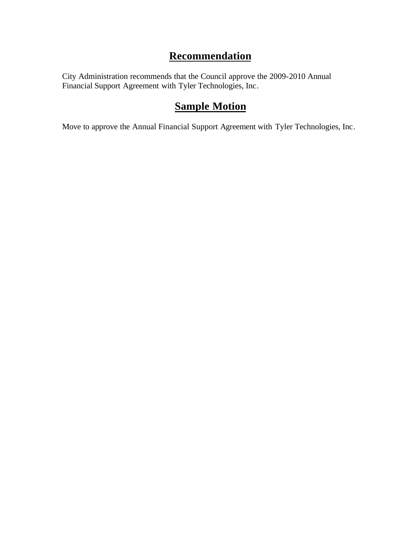#### **Recommendation**

City Administration recommends that the Council approve the 2009-2010 Annual Financial Support Agreement with Tyler Technologies, Inc.

#### **Sample Motion**

Move to approve the Annual Financial Support Agreement with Tyler Technologies, Inc.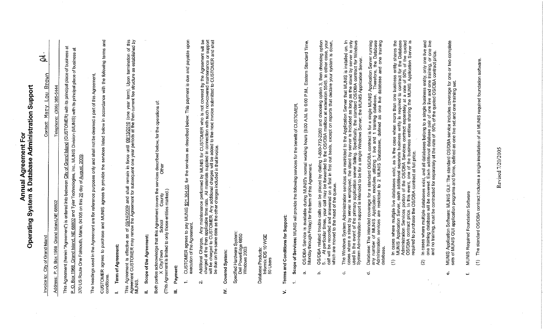| Invoice to:          | City of Grand Island                                                                                                                                                                                                                                                                                                                               | ತ್ತ<br>Brown<br>Lou<br>Мату<br><b>Contact:</b>                                                    |
|----------------------|----------------------------------------------------------------------------------------------------------------------------------------------------------------------------------------------------------------------------------------------------------------------------------------------------------------------------------------------------|---------------------------------------------------------------------------------------------------|
| Address:             | 68802<br>Grand Island, NE<br>P.O. Box 1968                                                                                                                                                                                                                                                                                                         | 385-5444<br>(308)<br>Telephone:                                                                   |
| ച                    | Q. Box 1968. Grand Island, NE 68802 and Tyler Technologies, Inc., MUNIS Division (MUNIS) with its principal place of business at<br>This Agreement (herein "Agreement") is entered into between City of Grand (sland (CUSTOMER) with its principal place of business<br>2009.<br>370 US Route One Falmouth, Maine, 04105 on this 20 day of August, | $\vec{v}$                                                                                         |
|                      | The headings used in the Agreement are for reference purposes only and shall not be deemed a part of this Agreement,                                                                                                                                                                                                                               |                                                                                                   |
| conditions           | CUSTOMER agrees to purchase and MUNIS agrees to provide the services listed below in accordance with the following terms and                                                                                                                                                                                                                       |                                                                                                   |
|                      | Term of Agreement:                                                                                                                                                                                                                                                                                                                                 |                                                                                                   |
| MUNIS.               | This Agreement is effective as of <u>09/14/2009</u> and shall remain in force until <u>09/13/2010</u> (one year term). Upon termination of this<br>Agreement CUSTOMER may renew the Agreement for subsequent one year periods at the then c                                                                                                        |                                                                                                   |
| $\Rightarrow$        | Scope of the Agreement:                                                                                                                                                                                                                                                                                                                            |                                                                                                   |
|                      | Other<br>services<br>Agreement covers the<br>(This Agreement is limited to only those entities marked.)<br>County<br>School<br>Both parties acknowledge that this<br>CityTown                                                                                                                                                                      | described below, for the operations of:                                                           |
| Payment:<br>$\equiv$ |                                                                                                                                                                                                                                                                                                                                                    |                                                                                                   |
| $\div$               | CUSTOMER agrees to pay MUNIS \$21.304.00, for the services as described below. This payment is due and payable upon<br>execution of the Agreement.                                                                                                                                                                                                 |                                                                                                   |
| N                    | charged at the then applicable time rate. All materials supplied in connection with such non-covered maintenance or support<br>will be charged to CUSTOMER. Any additional charges will be added to the next invoice submitted to<br>Additional Charges.                                                                                           | Any maintenance performed by MUNIS for CUSTOMER who is not covered by the Agreement will be       |
| Σ                    | Covered System:                                                                                                                                                                                                                                                                                                                                    |                                                                                                   |
|                      | Specified Hardware System:<br>Dell PowerEdge 6850<br>Windows 2003                                                                                                                                                                                                                                                                                  |                                                                                                   |
|                      | Database Products:<br>Informix IDS 10 WGE<br>50 Users                                                                                                                                                                                                                                                                                              |                                                                                                   |
| $\leq$               | Terms and Conditions for Support:                                                                                                                                                                                                                                                                                                                  |                                                                                                   |
| $\div$               | Scope of Services: MUNIS will provide the following services for the benefit of CUSTOMER.                                                                                                                                                                                                                                                          |                                                                                                   |
| ക്                   | Service is available during MUNIS's normal working hours (8:00 A.M. to 6:00 P.M.,<br>Monday through Friday) for the term of this Agreement.<br><b>OS/DBA</b>                                                                                                                                                                                       | Eastern Standard Time,                                                                            |
| خ                    | OS/DBA related trouble calls can be placed by dialing 1-800-772-2260 and choosing option 3, then choosing option<br>5. .   At particular times, your call may be forwarded to the OS/DBA mailbox at extension 5545. In either cas                                                                                                                  | option                                                                                            |
| ن                    | The Windows System Administration services are restricted to the Application Server that MUNIS is installed on. In<br>cases where a stand by server is employed, the stand by server is included as long as the stand by server i                                                                                                                  |                                                                                                   |
| ਹ                    | Database: The intended coverage for a standard OS/DBA contract is for a single MUNIS Application Server running<br>any number of MUNIS Application modules utilizing 1 live and 1 training database. Therefore, the Database<br>Admi<br>database.                                                                                                  |                                                                                                   |
|                      | MUNIS Application Server, each additional separate business entity is required to contract for the Database<br>Administration Services portion of the OS/DBA Services contract separately at a rate of 50% of the quoted<br>OS/DBA c<br>required to purchase the OS/DBA contract at full price.<br>Cases<br>$\equiv$<br>$\widehat{\epsilon}$       | where multiple live databases exist, as is the case when more than one business entity shares the |
|                      | In cases where multiple databases exist, and all databases belong to a single business entity, only one live<br>one training database will be covered. Each additional database pair of one live and one training, or one<br>and no<br>$\widehat{\mathfrak{L}}$                                                                                    | 용을<br>one<br>one live                                                                             |
| ته                   | MUNIS Application Software: MUNIS GUI: The standard OS/DBA service includes coverage for one or two complete<br>sets of MUNIS GUI application programs and forms, defined as one live set and one training set.                                                                                                                                    |                                                                                                   |
| ÷,                   | The standard OS/DBA contract includes a single installation of all MUNIS required foundation software.<br>MUNIS Required Foundation Software<br>$\widehat{\epsilon}$                                                                                                                                                                               |                                                                                                   |
|                      |                                                                                                                                                                                                                                                                                                                                                    |                                                                                                   |

Annual Agreement For<br>Operating System & Database Administration Support

 $\sim 10^{-1}$ 

Revised 7/20/2005

 $\bar{z}$  $\frac{1}{2}$  ,  $\frac{1}{2}$ 

 $\mathcal{A}^{\pm}$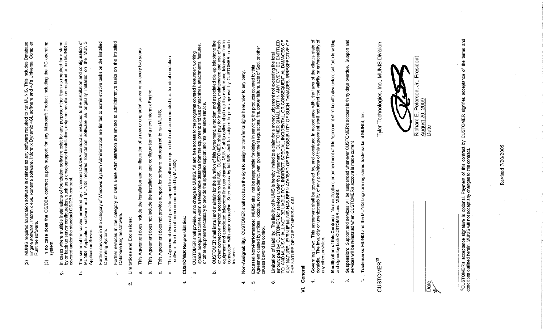|                        |                          | defined as any software required to run MUNIS. This includes Database<br>software, Informix Dynamic 4GL software and 4J's Universal Compiler<br>MUNIS required foundation software is defined<br>Engine software, Informix 4GL Runtime softwar<br>Runtime software.<br>$\widehat{S}$                                     |
|------------------------|--------------------------|--------------------------------------------------------------------------------------------------------------------------------------------------------------------------------------------------------------------------------------------------------------------------------------------------------------------------|
|                        |                          | operating<br>O<br>ā.<br>the<br>Product including<br>Microsoft<br>ξ<br>support for<br>supply<br>contract<br><b>OS/DBA</b><br>case does the<br>system.<br>S<br>$\mathbf{u}$<br>$\widehat{\mathfrak{D}}$                                                                                                                    |
|                        | $\dot{\sigma}$           | In cases where multiple installations of foundation software exist for any purpose other than as required for a stand<br>by or back up server configuration, such as a development installation, only the installation required t                                                                                        |
|                        | ċ,                       | configuration of<br>on the MUNIS<br>$\mathsf S$<br>The scope of the service provided by a standard OS/DBA contract is restricted to the installation and<br>MUNIS Application software and MUNIS required foundation software as originally installed o<br>Application Server.                                           |
|                        | $\overline{\phantom{a}}$ | installed<br>on the<br>administrative tasks<br>are limited to<br>of Windows System Administration<br>category<br>services in the<br>Operating System.<br>Further                                                                                                                                                         |
|                        | بشب                      | installed<br>e<br>$\epsilon$<br>of Data Base Administration are limited to administrative tasks<br>Further services in the category<br>Database Engine software.<br>Further                                                                                                                                              |
| $\sim$                 |                          | Limitations and Exclusions:                                                                                                                                                                                                                                                                                              |
|                        | $\sigma$                 | years.<br>$\frac{8}{2}$<br>once every<br>server<br>upgraded<br>$\rm \overleftarrow{o}$<br>new<br>$\omega$<br>configuration of<br>This Agreement does include the installation and                                                                                                                                        |
|                        | $\Delta$                 | a new Informix Engine.<br>This Agreement does not include the installation and configuration of                                                                                                                                                                                                                          |
|                        | ö                        | This Agreement does not provide support for software not required to run MUN                                                                                                                                                                                                                                             |
|                        | $\dot{\mathbf{w}}$       | his Agreement does not provide support for software required but not recommended (i.e. terminal emulation<br>software that has not been recommended by MUNIS).<br>This                                                                                                                                                   |
| 9                      |                          | <b>CUSTOMER Responsibilities:</b>                                                                                                                                                                                                                                                                                        |
|                        | $\bar{\infty}$           | CUSTOMER shall provide, at no charge to MUNIS, full and free access to the programs covered hereunder: working<br>space; adequate facilities within a reasonable distance from the equipment; and use of machines, attachments, f                                                                                        |
|                        | غ                        | associated dial-up telephone line<br>**   ***intenance and use of such<br>CUSTOMER shall install and maintain for the duration of this Agreement, a modem and associated dial-up telephone line<br>or other connection method acceptable to MUNIS. CUSTOMER shall pay for installation, maintenance and use<br>instance  |
| $\div$                 |                          | CUSTOMER shall not have the right to assign or transfer its rights hereunder to any party.<br>Non-Assignability:                                                                                                                                                                                                         |
| ъó.                    |                          | other<br>ă<br>Excused Non-Performance: MUNIS shall not be responsible for delays in servicing the products covered by this<br>Agreement caused by strikes, lockouts, riots, epidemic, war, government regulations, fire, power failure, acts of                                                                          |
| $\infty$               |                          | Limitation of Liability: The liability of MUNIS is hereby limited to a claim for a money judgement not exceeding the total<br>amount paid by CUSTOMER for services under this Agreement. CUSTOMER SHALL NOT IN ANY EVENT BE ENTIT                                                                                        |
| ź                      | General                  |                                                                                                                                                                                                                                                                                                                          |
| $\div$                 |                          | ਰ ਰ<br>state<br>enforceability<br>client's<br>Governing Law: This agreement shall be governed by, and construed in accordance with, the laws of the<br>domicile. The invalidity or unenforceability of any provisions of this agreement shall not affect the validity or<br>domicile. The invali<br>any other provision. |
| $\mathbf{N}$           |                          | set forth in writing<br>effective unless<br>Agreement shall be<br>Modification of this Contract: No modifications or amendment of this<br>and signed by both CUSTOMER and MUNIS.                                                                                                                                         |
| $_{\rm{co}}$           |                          | and<br>Support<br>overdue.<br>account is thirty days<br>Suspension: Support and services will be suspended whenever CUSTOMER's<br>services will be reinstated when CUSTOMER's account is made current                                                                                                                    |
| 4ŕ                     |                          | Trademarks: MUNIS and the MUNIS Logo are registered trademarks of MUNIS, Inc.                                                                                                                                                                                                                                            |
| CUSTOMER <sup>13</sup> |                          | Tyler Technologies, Inc., MUNIS Division                                                                                                                                                                                                                                                                                 |
|                        |                          |                                                                                                                                                                                                                                                                                                                          |
|                        |                          | Richard E. Peterson, Jr., President<br><u>August 20, 2009</u><br>Date                                                                                                                                                                                                                                                    |
| Date                   |                          |                                                                                                                                                                                                                                                                                                                          |
|                        |                          | and<br>of the terms<br><sup>13</sup> CUSTOMER's acceptance signature is optional. Payment of this contract by CUSTOMER signifies acceptance<br>conditions outlined herein. MUNIS will not accept any changes to this contract.                                                                                           |

 $\sim$ 

 $\sim 10^7$ 

Revised 7/20/2005

 $\sim$ 

 $\sim 10^{-1}$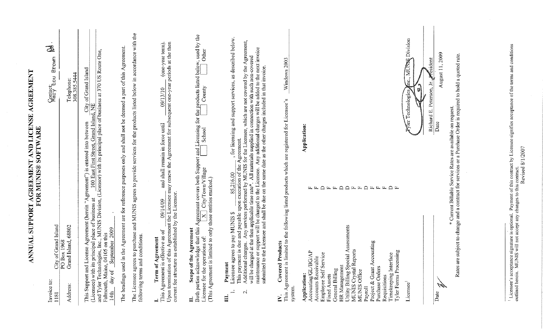| Both parties acknowledge that this Agreement covers both Support<br>Licensee for the operations of: $\boxed{\text{X}}$ City/Town/Village<br>This Support and License Agreement (herein "Agreement") is<br>its principal place of business at<br>City of Grand Island<br>Grand Island, 68802<br>2009<br>Agreement<br>and Tyler Technologies, Inc., M<br>Falmouth, Maine, 04105 on this<br>14th day of September 20<br>and conditions.<br>Agreement<br>PO Box 1968<br>of the<br>Term of<br>following terms<br>(Licensee) with<br>Scope<br>Address:<br>∃<br>Ĭ. | The Licensee agrees to purchase and MUNIS agrees to provide services for the products listed below in accordance with the<br>and Licensing for the products listed below, used by the<br>This Agreement is effective as of $\frac{09/14/09}{0.09}$ and shall remain in force until $\frac{09/13/10}{0.09}$ (one-year term).<br>Upon termination of this Agreement the Licensee may renew the Agreement for subsequent one-year pe<br>The headings used in the Agreement are for reference purposes only and shall not be deemed a part of this Agreement.<br>MUNIS Division, (Licensor) with its principal place of business at 370 US Route<br>of Grand Island<br>Telephone:<br>308.385.5444<br>$\frac{100 \text{ East First Street, Grand Island, NE}}{100 \text{ East First Street, Grand Island, NE}}$ | One,                |
|-------------------------------------------------------------------------------------------------------------------------------------------------------------------------------------------------------------------------------------------------------------------------------------------------------------------------------------------------------------------------------------------------------------------------------------------------------------------------------------------------------------------------------------------------------------|------------------------------------------------------------------------------------------------------------------------------------------------------------------------------------------------------------------------------------------------------------------------------------------------------------------------------------------------------------------------------------------------------------------------------------------------------------------------------------------------------------------------------------------------------------------------------------------------------------------------------------------------------------------------------------------------------------------------------------------------------------------------------------------------------------|---------------------|
|                                                                                                                                                                                                                                                                                                                                                                                                                                                                                                                                                             |                                                                                                                                                                                                                                                                                                                                                                                                                                                                                                                                                                                                                                                                                                                                                                                                            |                     |
|                                                                                                                                                                                                                                                                                                                                                                                                                                                                                                                                                             |                                                                                                                                                                                                                                                                                                                                                                                                                                                                                                                                                                                                                                                                                                                                                                                                            |                     |
|                                                                                                                                                                                                                                                                                                                                                                                                                                                                                                                                                             |                                                                                                                                                                                                                                                                                                                                                                                                                                                                                                                                                                                                                                                                                                                                                                                                            |                     |
|                                                                                                                                                                                                                                                                                                                                                                                                                                                                                                                                                             |                                                                                                                                                                                                                                                                                                                                                                                                                                                                                                                                                                                                                                                                                                                                                                                                            |                     |
|                                                                                                                                                                                                                                                                                                                                                                                                                                                                                                                                                             |                                                                                                                                                                                                                                                                                                                                                                                                                                                                                                                                                                                                                                                                                                                                                                                                            |                     |
| it is limited to only those entities marked.)<br>(This Agreemen                                                                                                                                                                                                                                                                                                                                                                                                                                                                                             | County<br>School                                                                                                                                                                                                                                                                                                                                                                                                                                                                                                                                                                                                                                                                                                                                                                                           | Other               |
| Licensee agrees to pay MUNIS \$<br><b>Covered Products</b><br>Payment<br>$\div$<br>$\sim$<br>$\Xi$<br>≧                                                                                                                                                                                                                                                                                                                                                                                                                                                     | , for licensing and support services, as described below.<br>This payment is due and payable upon execution of the Agreement.<br>Additional charges. Any services performed by MUNIS for the Licensee, which are not covered by the Agreement,<br>will be charged at the then applicable time rate*. All materials supplied in connection with such non-covered<br>maintenance or support will be charged to the Licensee. Any additional charges will be added to the next invoice<br>85,216.00                                                                                                                                                                                                                                                                                                           |                     |
| This Agreement<br>system.                                                                                                                                                                                                                                                                                                                                                                                                                                                                                                                                   | is limited to the following listed products which are registered for Licensee's                                                                                                                                                                                                                                                                                                                                                                                                                                                                                                                                                                                                                                                                                                                            | Windows 2003        |
| HR Management<br>Utility Billing Special Assessments<br>MUNIS Crystal Reports<br>MUNIS Office<br>Accounting<br>Tyler Forms Processing<br>Accounting/GL/BG/AP<br>Service <sup>®</sup><br>Timekeeping Interface<br>Accounts Receivable<br>Purchase Orders<br>Grant<br>General Billing<br>Employee Self<br>Application:<br><b>Fixed Assets</b><br>Requisitions<br>Project &<br>Payroll                                                                                                                                                                         | Application:<br>$\begin{array}{cccccccccccccc} \multicolumn{4}{c}{} & \multicolumn{4}{c}{} & \multicolumn{4}{c}{} & \multicolumn{4}{c}{} & \multicolumn{4}{c}{} & \multicolumn{4}{c}{} & \multicolumn{4}{c}{} & \multicolumn{4}{c}{} & \multicolumn{4}{c}{} & \multicolumn{4}{c}{} & \multicolumn{4}{c}{} & \multicolumn{4}{c}{} & \multicolumn{4}{c}{} & \multicolumn{4}{c}{} & \multicolumn{4}{c}{} & \multicolumn{4}{c}{} & \multicolumn{4}{c}{} & \multicolumn{4}{c}{} & \multicolumn{4}{c}{} & \$<br>EEEQE<br>匤<br>$\mathbf{L}$                                                                                                                                                                                                                                                                       |                     |
| Licensee                                                                                                                                                                                                                                                                                                                                                                                                                                                                                                                                                    | U<br>For Technologies                                                                                                                                                                                                                                                                                                                                                                                                                                                                                                                                                                                                                                                                                                                                                                                      | fac., MUNK Division |
| Date                                                                                                                                                                                                                                                                                                                                                                                                                                                                                                                                                        | Richard E. Peterson, Jr. Pesident<br>Date                                                                                                                                                                                                                                                                                                                                                                                                                                                                                                                                                                                                                                                                                                                                                                  | August 11, 2009     |
|                                                                                                                                                                                                                                                                                                                                                                                                                                                                                                                                                             | * Current Billable Service Rates are available on request.<br>Rates are subject to change and a contract for services or a Purchase Order is required to hold a quoted rate.                                                                                                                                                                                                                                                                                                                                                                                                                                                                                                                                                                                                                               |                     |

 $\sim$ 

 $\mathcal{L}_{\mathcal{A}}$ 

<sup>&</sup>lt;sup>1</sup> Licensee's acceptance signature is optional. Payment of this contract by Licensee's acceptance signature is optional. Payment of this contract.<br>outlined herein. MUNIS will not accept any changes to this contract.<br>Revi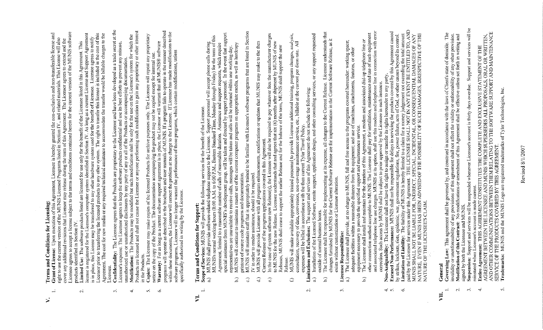# and Conditions for Licensing: Terms:  $\ddot{\sim}$

- Licensee agrees to accept a license subject to the terms and conditions contained herein for the current version of the MUNIS software<br>products identified in Section IV.<br>Limited Use: The software products listed are licens **Grant of License:** Upon execution of this Agreement, Licensee is hereby granted the non-exclusive and non-transferable license and right to use the current version of the MUNIS Licensed Programs listed in Section IV., an  $\overline{\phantom{a}}$ 
	- used for the benefit of Licensee. Licensee agrees to notify<br>The right to transfer this license is included in the cost of this **Limited Use:** The software products listed are licensed for use only for the benefit of the Licensee listed in this Agreement. This<br>license is registered for the Licensee's computer system identified in Section IV. As lon Licensor prior to transferring the licensed products to any other system. The right to transfer this license is included in the cost of this Agreement. The cost of the license are media or any required technical assistance  $\overline{\mathcal{N}}$
- Confidentiality: The Licensee agrees that the Products are proprietary to the Licensor and have been developed as a trade secret at the Licensor's expense. The Licensee agrees to keep the software products confidential an  $\mathbf{r}$ 
	- interest Products are licensed and shall not cause the Licensee or anyone performing such modification to gain any proprietary or other in the Products.  $\vec{r}$ 
		- $\mathbf{v}_1$ Ġ.
- Copies: The Licensee may make copies of the licensed Products for archive purposes only. The Licensee will repeat any proprietary<br>notice on the copy of the Product. The documentation accompanying the product may not be co specifically authorized in writing by the Licensor.

# **Terms and Conditions for Support:**  $\overline{\mathbf{z}}$

- Scope  $\overline{\phantom{a}}$
- **we of Services:** MUNIS will provide the following services for the benefit of the Licensee.<br>MUNIS shall provide software-related telephone support to the Licensee. Support personnel will accept phone calls during<br>MUNIS sh ್ಡ  $\widehat{\mathbf{c}}$ 
	- $\widehat{\circ}$ 
		- - MUNIS will provide Licensee with all program enhancements, modifications or updates that MUNIS may make to the then Current Release of the program applications covered in this Agreement.  $\widehat{d}$
- In the case of system software new Release(s), the Licensee will also be required to pay whatever fees the manufacturer charges to MUNIS for the new Release. Licensee understands that and agrees that six (6) months after s keleas
- consultation, recovery of data, conversion, non-coverage maintenance service, etc., billable at the current per diem rate. All expenses will be billed in accordance with the then current Tyler Travel Policy.<br>Limitations a MUNIS will make available appropriately trained personnel to provide Licensee additional training, program changes, analysis, Ō
	- Ń.
- 
- Licensee understands that outside of normal business hours.<br>The Licensee shall be responsible for implementing at its expense, all changes to the Current Release. Licensee understands t<br>changes furnished by MUNIS for the Current Software Release ar without customization or Licensee alteration. Licensee Responsibilities: exists  $\Omega$ 
	- $\mathfrak{m}$
- 
- - $4.8$
- The Licenses shall movids, at no change to MUNIS, full and free access to the programs covered hereunder; working space;<br>a) The Licenses shall movids at a change to MUNIS, full and free access to the programs covered here Ó.

# General УII.

- invalidity or unenforceability of any provisions of this agreement shall not affect the validity or enforceability of any other provision.<br>Modification of this Contract: No modifications or amendment of this Agreement shal **Governing Law:** This agreement shall be governed by, and construed in accordance with the laws of Client's state of domicile.  $\overline{\phantom{a}}$
- $\vec{N}$
- Support and services will be  $\vec{c}$ 
	- signed by both the Licensee and MLTNIS.<br>Suspension: Support and services will be suspended whenever Licensee's account is thirty days overdue. Support and services will borstensee's account is made current.<br>Fariated when L  $\overline{4}$ 
		- Γ.